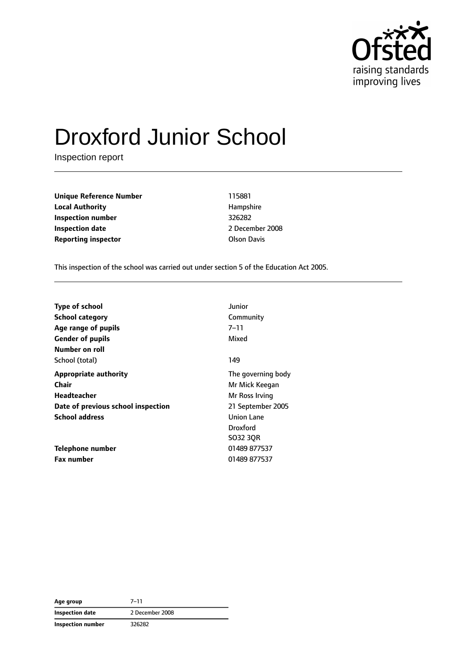

# Droxford Junior School

Inspection report

**Unique Reference Number** 115881 **Local Authority Hampshire Inspection number** 326282 **Inspection date** 2008 **Reporting inspector COLSON DAVIS COLSON DAVIS** 

This inspection of the school was carried out under section 5 of the Education Act 2005.

| <b>Type of school</b>              | Junior             |
|------------------------------------|--------------------|
| <b>School category</b>             | Community          |
| Age range of pupils                | $7 - 11$           |
| <b>Gender of pupils</b>            | Mixed              |
| Number on roll                     |                    |
| School (total)                     | 149                |
| <b>Appropriate authority</b>       | The governing body |
| Chair                              | Mr Mick Keegan     |
| Headteacher                        | Mr Ross Irving     |
| Date of previous school inspection | 21 September 2005  |
| <b>School address</b>              | <b>Union Lane</b>  |
|                                    | <b>Droxford</b>    |
|                                    | SO32 3QR           |
| Telephone number                   | 01489 877537       |
| <b>Fax number</b>                  | 01489 877537       |

**Age group** 7–11 **Inspection date** 2 December 2008 **Inspection number** 326282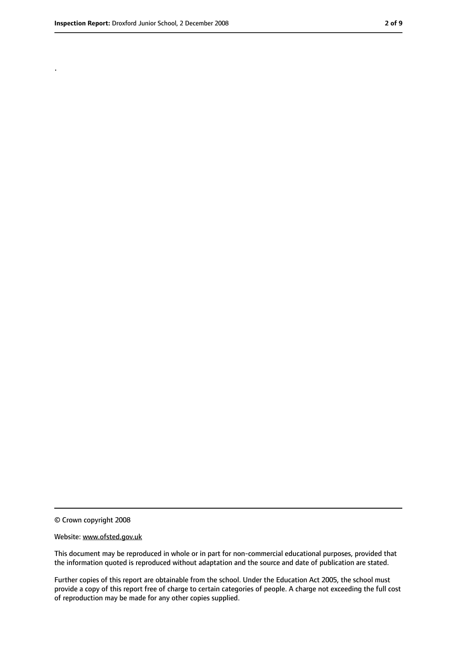.

<sup>©</sup> Crown copyright 2008

Website: www.ofsted.gov.uk

This document may be reproduced in whole or in part for non-commercial educational purposes, provided that the information quoted is reproduced without adaptation and the source and date of publication are stated.

Further copies of this report are obtainable from the school. Under the Education Act 2005, the school must provide a copy of this report free of charge to certain categories of people. A charge not exceeding the full cost of reproduction may be made for any other copies supplied.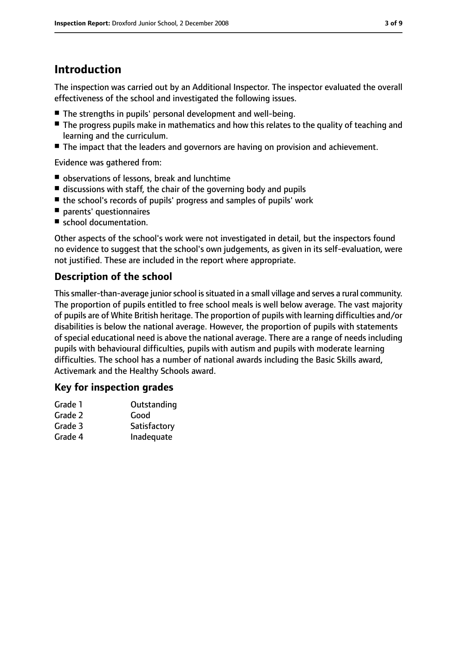## **Introduction**

The inspection was carried out by an Additional Inspector. The inspector evaluated the overall effectiveness of the school and investigated the following issues.

- The strengths in pupils' personal development and well-being.
- The progress pupils make in mathematics and how this relates to the quality of teaching and learning and the curriculum.
- The impact that the leaders and governors are having on provision and achievement.

Evidence was gathered from:

- observations of lessons, break and lunchtime
- discussions with staff, the chair of the governing body and pupils
- the school's records of pupils' progress and samples of pupils' work
- parents' questionnaires
- school documentation.

Other aspects of the school's work were not investigated in detail, but the inspectors found no evidence to suggest that the school's own judgements, as given in its self-evaluation, were not justified. These are included in the report where appropriate.

#### **Description of the school**

This smaller-than-average junior school is situated in a small village and serves a rural community. The proportion of pupils entitled to free school meals is well below average. The vast majority of pupils are of White British heritage. The proportion of pupils with learning difficulties and/or disabilities is below the national average. However, the proportion of pupils with statements of special educational need is above the national average. There are a range of needs including pupils with behavioural difficulties, pupils with autism and pupils with moderate learning difficulties. The school has a number of national awards including the Basic Skills award, Activemark and the Healthy Schools award.

#### **Key for inspection grades**

| Grade 1 | Outstanding  |
|---------|--------------|
| Grade 2 | Good         |
| Grade 3 | Satisfactory |
| Grade 4 | Inadequate   |
|         |              |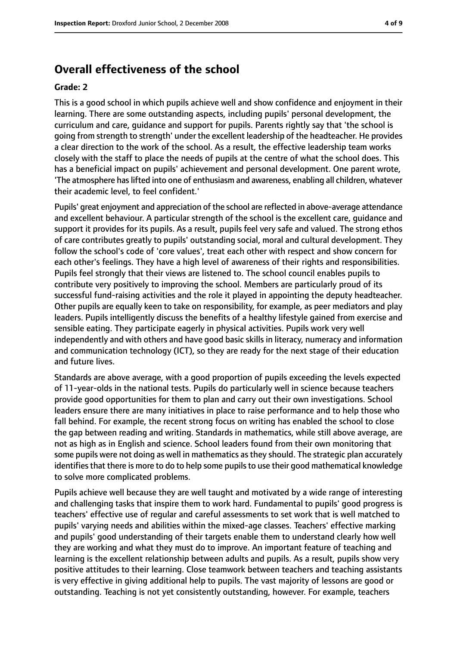## **Overall effectiveness of the school**

#### **Grade: 2**

This is a good school in which pupils achieve well and show confidence and enjoyment in their learning. There are some outstanding aspects, including pupils' personal development, the curriculum and care, guidance and support for pupils. Parents rightly say that 'the school is going from strength to strength' under the excellent leadership of the headteacher. He provides a clear direction to the work of the school. As a result, the effective leadership team works closely with the staff to place the needs of pupils at the centre of what the school does. This has a beneficial impact on pupils' achievement and personal development. One parent wrote, 'The atmosphere haslifted into one of enthusiasm and awareness, enabling all children, whatever their academic level, to feel confident.'

Pupils' great enjoyment and appreciation of the school are reflected in above-average attendance and excellent behaviour. A particular strength of the school is the excellent care, guidance and support it provides for its pupils. As a result, pupils feel very safe and valued. The strong ethos of care contributes greatly to pupils' outstanding social, moral and cultural development. They follow the school's code of 'core values', treat each other with respect and show concern for each other's feelings. They have a high level of awareness of their rights and responsibilities. Pupils feel strongly that their views are listened to. The school council enables pupils to contribute very positively to improving the school. Members are particularly proud of its successful fund-raising activities and the role it played in appointing the deputy headteacher. Other pupils are equally keen to take on responsibility, for example, as peer mediators and play leaders. Pupils intelligently discuss the benefits of a healthy lifestyle gained from exercise and sensible eating. They participate eagerly in physical activities. Pupils work very well independently and with others and have good basic skills in literacy, numeracy and information and communication technology (ICT), so they are ready for the next stage of their education and future lives.

Standards are above average, with a good proportion of pupils exceeding the levels expected of 11-year-olds in the national tests. Pupils do particularly well in science because teachers provide good opportunities for them to plan and carry out their own investigations. School leaders ensure there are many initiatives in place to raise performance and to help those who fall behind. For example, the recent strong focus on writing has enabled the school to close the gap between reading and writing. Standards in mathematics, while still above average, are not as high as in English and science. School leaders found from their own monitoring that some pupils were not doing as well in mathematics as they should. The strategic plan accurately identifies that there is more to do to help some pupils to use their good mathematical knowledge to solve more complicated problems.

Pupils achieve well because they are well taught and motivated by a wide range of interesting and challenging tasks that inspire them to work hard. Fundamental to pupils' good progress is teachers' effective use of regular and careful assessments to set work that is well matched to pupils' varying needs and abilities within the mixed-age classes. Teachers' effective marking and pupils' good understanding of their targets enable them to understand clearly how well they are working and what they must do to improve. An important feature of teaching and learning is the excellent relationship between adults and pupils. As a result, pupils show very positive attitudes to their learning. Close teamwork between teachers and teaching assistants is very effective in giving additional help to pupils. The vast majority of lessons are good or outstanding. Teaching is not yet consistently outstanding, however. For example, teachers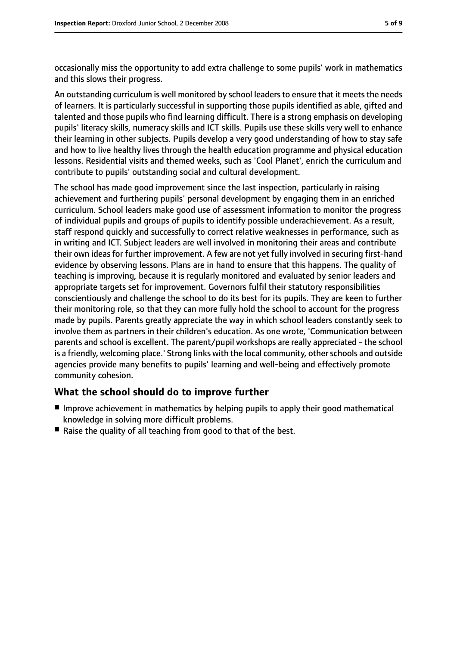occasionally miss the opportunity to add extra challenge to some pupils' work in mathematics and this slows their progress.

An outstanding curriculum is well monitored by school leaders to ensure that it meets the needs of learners. It is particularly successful in supporting those pupils identified as able, gifted and talented and those pupils who find learning difficult. There is a strong emphasis on developing pupils' literacy skills, numeracy skills and ICT skills. Pupils use these skills very well to enhance their learning in other subjects. Pupils develop a very good understanding of how to stay safe and how to live healthy lives through the health education programme and physical education lessons. Residential visits and themed weeks, such as 'Cool Planet', enrich the curriculum and contribute to pupils' outstanding social and cultural development.

The school has made good improvement since the last inspection, particularly in raising achievement and furthering pupils' personal development by engaging them in an enriched curriculum. School leaders make good use of assessment information to monitor the progress of individual pupils and groups of pupils to identify possible underachievement. As a result, staff respond quickly and successfully to correct relative weaknesses in performance, such as in writing and ICT. Subject leaders are well involved in monitoring their areas and contribute their own ideas for further improvement. A few are not yet fully involved in securing first-hand evidence by observing lessons. Plans are in hand to ensure that this happens. The quality of teaching is improving, because it is regularly monitored and evaluated by senior leaders and appropriate targets set for improvement. Governors fulfil their statutory responsibilities conscientiously and challenge the school to do its best for its pupils. They are keen to further their monitoring role, so that they can more fully hold the school to account for the progress made by pupils. Parents greatly appreciate the way in which school leaders constantly seek to involve them as partners in their children's education. As one wrote, 'Communication between parents and school is excellent. The parent/pupil workshops are really appreciated - the school is a friendly, welcoming place.' Strong links with the local community, other schools and outside agencies provide many benefits to pupils' learning and well-being and effectively promote community cohesion.

#### **What the school should do to improve further**

- Improve achievement in mathematics by helping pupils to apply their good mathematical knowledge in solving more difficult problems.
- Raise the quality of all teaching from good to that of the best.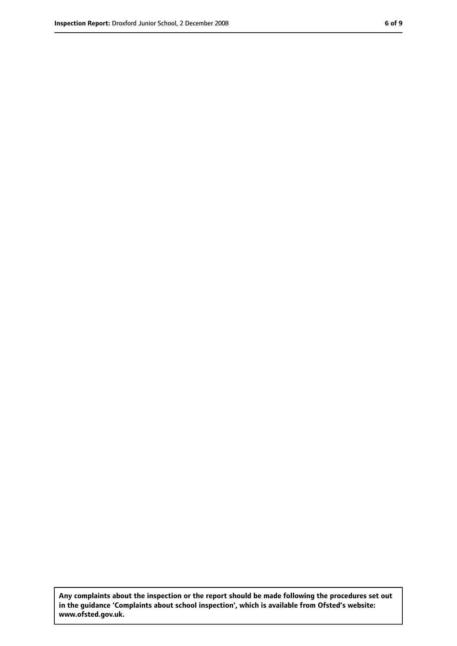**Any complaints about the inspection or the report should be made following the procedures set out in the guidance 'Complaints about school inspection', which is available from Ofsted's website: www.ofsted.gov.uk.**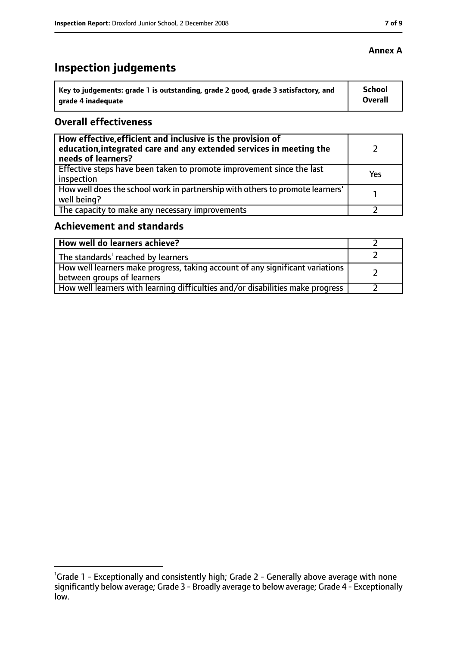# **Inspection judgements**

| ˈ Key to judgements: grade 1 is outstanding, grade 2 good, grade 3 satisfactory, and | <b>School</b>  |
|--------------------------------------------------------------------------------------|----------------|
| arade 4 inadequate                                                                   | <b>Overall</b> |

#### **Overall effectiveness**

| How effective, efficient and inclusive is the provision of<br>education, integrated care and any extended services in meeting the<br>needs of learners? |     |
|---------------------------------------------------------------------------------------------------------------------------------------------------------|-----|
| Effective steps have been taken to promote improvement since the last<br>inspection                                                                     | Yes |
| How well does the school work in partnership with others to promote learners'<br>well being?                                                            |     |
| The capacity to make any necessary improvements                                                                                                         |     |

#### **Achievement and standards**

| How well do learners achieve?                                                                                 |  |
|---------------------------------------------------------------------------------------------------------------|--|
| The standards <sup>1</sup> reached by learners                                                                |  |
| How well learners make progress, taking account of any significant variations  <br>between groups of learners |  |
| How well learners with learning difficulties and/or disabilities make progress                                |  |

#### **Annex A**

<sup>&</sup>lt;sup>1</sup>Grade 1 - Exceptionally and consistently high; Grade 2 - Generally above average with none significantly below average; Grade 3 - Broadly average to below average; Grade 4 - Exceptionally low.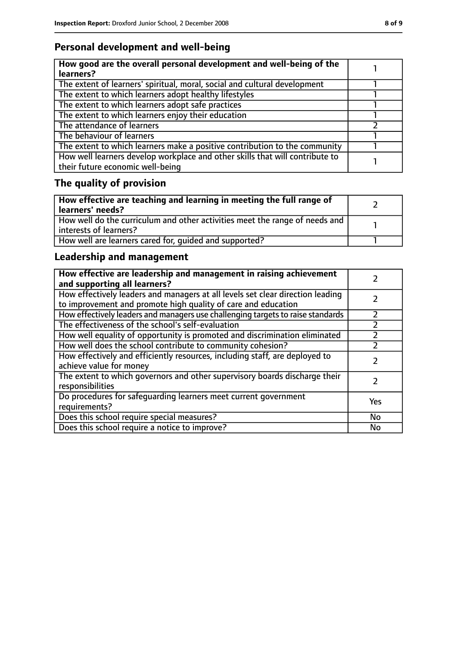## **Personal development and well-being**

| How good are the overall personal development and well-being of the<br>learners?                                 |  |
|------------------------------------------------------------------------------------------------------------------|--|
| The extent of learners' spiritual, moral, social and cultural development                                        |  |
| The extent to which learners adopt healthy lifestyles                                                            |  |
| The extent to which learners adopt safe practices                                                                |  |
| The extent to which learners enjoy their education                                                               |  |
| The attendance of learners                                                                                       |  |
| The behaviour of learners                                                                                        |  |
| The extent to which learners make a positive contribution to the community                                       |  |
| How well learners develop workplace and other skills that will contribute to<br>their future economic well-being |  |

# **The quality of provision**

| How effective are teaching and learning in meeting the full range of<br>learners' needs?              |  |
|-------------------------------------------------------------------------------------------------------|--|
| How well do the curriculum and other activities meet the range of needs and<br>interests of learners? |  |
| How well are learners cared for, quided and supported?                                                |  |

## **Leadership and management**

| How effective are leadership and management in raising achievement<br>and supporting all learners?                                              |     |
|-------------------------------------------------------------------------------------------------------------------------------------------------|-----|
| How effectively leaders and managers at all levels set clear direction leading<br>to improvement and promote high quality of care and education |     |
| How effectively leaders and managers use challenging targets to raise standards                                                                 |     |
| The effectiveness of the school's self-evaluation                                                                                               |     |
| How well equality of opportunity is promoted and discrimination eliminated                                                                      |     |
| How well does the school contribute to community cohesion?                                                                                      |     |
| How effectively and efficiently resources, including staff, are deployed to<br>achieve value for money                                          |     |
| The extent to which governors and other supervisory boards discharge their<br>responsibilities                                                  |     |
| Do procedures for safeguarding learners meet current government<br>requirements?                                                                | Yes |
| Does this school require special measures?                                                                                                      | No  |
| Does this school require a notice to improve?                                                                                                   | No  |